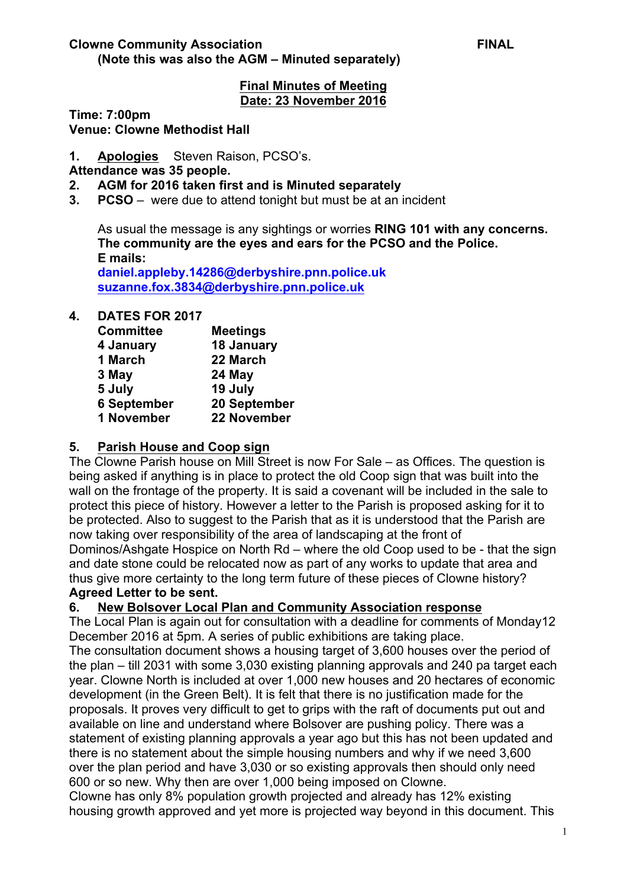## **Final Minutes of Meeting Date: 23 November 2016**

**Time: 7:00pm**

**Venue: Clowne Methodist Hall**

**1. Apologies** Steven Raison, PCSO's.

### **Attendance was 35 people.**

- **2. AGM for 2016 taken first and is Minuted separately**
- **3. PCSO**  were due to attend tonight but must be at an incident

As usual the message is any sightings or worries **RING 101 with any concerns. The community are the eyes and ears for the PCSO and the Police. E mails:**

**daniel.appleby.14286@derbyshire.pnn.police.uk suzanne.fox.3834@derbyshire.pnn.police.uk**

### **4. DATES FOR 2017**

| <b>Committee</b>   | <b>Meetings</b> |
|--------------------|-----------------|
| 4 January          | 18 January      |
| 1 March            | 22 March        |
| 3 May              | 24 May          |
| 5 July             | 19 July         |
| <b>6 September</b> | 20 September    |
| 1 November         | 22 November     |

## **5. Parish House and Coop sign**

The Clowne Parish house on Mill Street is now For Sale – as Offices. The question is being asked if anything is in place to protect the old Coop sign that was built into the wall on the frontage of the property. It is said a covenant will be included in the sale to protect this piece of history. However a letter to the Parish is proposed asking for it to be protected. Also to suggest to the Parish that as it is understood that the Parish are now taking over responsibility of the area of landscaping at the front of Dominos/Ashgate Hospice on North Rd – where the old Coop used to be - that the sign and date stone could be relocated now as part of any works to update that area and thus give more certainty to the long term future of these pieces of Clowne history? **Agreed Letter to be sent.**

## **6. New Bolsover Local Plan and Community Association response**

The Local Plan is again out for consultation with a deadline for comments of Monday12 December 2016 at 5pm. A series of public exhibitions are taking place.

The consultation document shows a housing target of 3,600 houses over the period of the plan – till 2031 with some 3,030 existing planning approvals and 240 pa target each year. Clowne North is included at over 1,000 new houses and 20 hectares of economic development (in the Green Belt). It is felt that there is no justification made for the proposals. It proves very difficult to get to grips with the raft of documents put out and available on line and understand where Bolsover are pushing policy. There was a statement of existing planning approvals a year ago but this has not been updated and there is no statement about the simple housing numbers and why if we need 3,600 over the plan period and have 3,030 or so existing approvals then should only need 600 or so new. Why then are over 1,000 being imposed on Clowne.

Clowne has only 8% population growth projected and already has 12% existing housing growth approved and yet more is projected way beyond in this document. This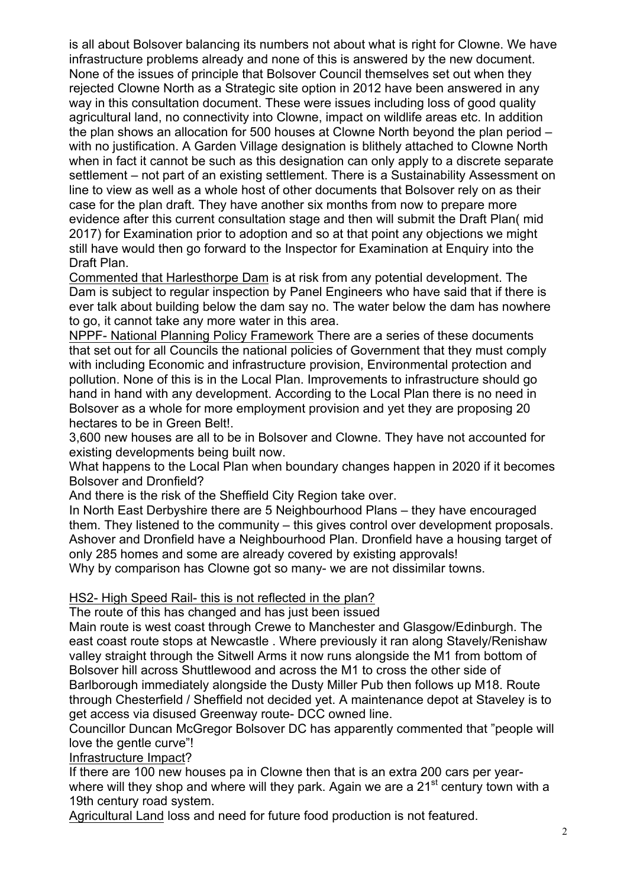is all about Bolsover balancing its numbers not about what is right for Clowne. We have infrastructure problems already and none of this is answered by the new document. None of the issues of principle that Bolsover Council themselves set out when they rejected Clowne North as a Strategic site option in 2012 have been answered in any way in this consultation document. These were issues including loss of good quality agricultural land, no connectivity into Clowne, impact on wildlife areas etc. In addition the plan shows an allocation for 500 houses at Clowne North beyond the plan period – with no justification. A Garden Village designation is blithely attached to Clowne North when in fact it cannot be such as this designation can only apply to a discrete separate settlement – not part of an existing settlement. There is a Sustainability Assessment on line to view as well as a whole host of other documents that Bolsover rely on as their case for the plan draft. They have another six months from now to prepare more evidence after this current consultation stage and then will submit the Draft Plan( mid 2017) for Examination prior to adoption and so at that point any objections we might still have would then go forward to the Inspector for Examination at Enquiry into the Draft Plan.

Commented that Harlesthorpe Dam is at risk from any potential development. The Dam is subject to regular inspection by Panel Engineers who have said that if there is ever talk about building below the dam say no. The water below the dam has nowhere to go, it cannot take any more water in this area.

NPPF- National Planning Policy Framework There are a series of these documents that set out for all Councils the national policies of Government that they must comply with including Economic and infrastructure provision, Environmental protection and pollution. None of this is in the Local Plan. Improvements to infrastructure should go hand in hand with any development. According to the Local Plan there is no need in Bolsover as a whole for more employment provision and yet they are proposing 20 hectares to be in Green Belt!.

3,600 new houses are all to be in Bolsover and Clowne. They have not accounted for existing developments being built now.

What happens to the Local Plan when boundary changes happen in 2020 if it becomes Bolsover and Dronfield?

And there is the risk of the Sheffield City Region take over.

In North East Derbyshire there are 5 Neighbourhood Plans – they have encouraged them. They listened to the community – this gives control over development proposals. Ashover and Dronfield have a Neighbourhood Plan. Dronfield have a housing target of only 285 homes and some are already covered by existing approvals!

Why by comparison has Clowne got so many- we are not dissimilar towns.

#### HS2- High Speed Rail- this is not reflected in the plan?

The route of this has changed and has just been issued

Main route is west coast through Crewe to Manchester and Glasgow/Edinburgh. The east coast route stops at Newcastle . Where previously it ran along Stavely/Renishaw valley straight through the Sitwell Arms it now runs alongside the M1 from bottom of Bolsover hill across Shuttlewood and across the M1 to cross the other side of Barlborough immediately alongside the Dusty Miller Pub then follows up M18. Route through Chesterfield / Sheffield not decided yet. A maintenance depot at Staveley is to get access via disused Greenway route- DCC owned line.

Councillor Duncan McGregor Bolsover DC has apparently commented that "people will love the gentle curve"!

Infrastructure Impact?

If there are 100 new houses pa in Clowne then that is an extra 200 cars per yearwhere will they shop and where will they park. Again we are a 21<sup>st</sup> century town with a 19th century road system.

Agricultural Land loss and need for future food production is not featured.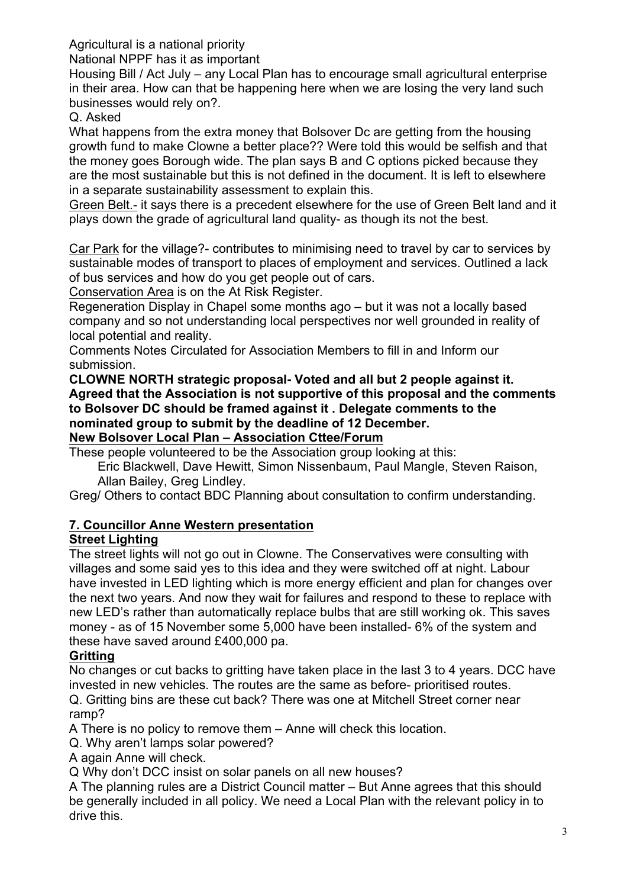Agricultural is a national priority

National NPPF has it as important

Housing Bill / Act July – any Local Plan has to encourage small agricultural enterprise in their area. How can that be happening here when we are losing the very land such businesses would rely on?.

Q. Asked

What happens from the extra money that Bolsover Dc are getting from the housing growth fund to make Clowne a better place?? Were told this would be selfish and that the money goes Borough wide. The plan says B and C options picked because they are the most sustainable but this is not defined in the document. It is left to elsewhere in a separate sustainability assessment to explain this.

Green Belt.- it says there is a precedent elsewhere for the use of Green Belt land and it plays down the grade of agricultural land quality- as though its not the best.

Car Park for the village?- contributes to minimising need to travel by car to services by sustainable modes of transport to places of employment and services. Outlined a lack of bus services and how do you get people out of cars.

Conservation Area is on the At Risk Register.

Regeneration Display in Chapel some months ago – but it was not a locally based company and so not understanding local perspectives nor well grounded in reality of local potential and reality.

Comments Notes Circulated for Association Members to fill in and Inform our submission.

**CLOWNE NORTH strategic proposal- Voted and all but 2 people against it. Agreed that the Association is not supportive of this proposal and the comments to Bolsover DC should be framed against it . Delegate comments to the nominated group to submit by the deadline of 12 December. New Bolsover Local Plan – Association Cttee/Forum**

These people volunteered to be the Association group looking at this:

Eric Blackwell, Dave Hewitt, Simon Nissenbaum, Paul Mangle, Steven Raison, Allan Bailey, Greg Lindley.

Greg/ Others to contact BDC Planning about consultation to confirm understanding.

# **7. Councillor Anne Western presentation**

# **Street Lighting**

The street lights will not go out in Clowne. The Conservatives were consulting with villages and some said yes to this idea and they were switched off at night. Labour have invested in LED lighting which is more energy efficient and plan for changes over the next two years. And now they wait for failures and respond to these to replace with new LED's rather than automatically replace bulbs that are still working ok. This saves money - as of 15 November some 5,000 have been installed- 6% of the system and these have saved around £400,000 pa.

# **Gritting**

No changes or cut backs to gritting have taken place in the last 3 to 4 years. DCC have invested in new vehicles. The routes are the same as before- prioritised routes. Q. Gritting bins are these cut back? There was one at Mitchell Street corner near ramp?

A There is no policy to remove them – Anne will check this location.

Q. Why aren't lamps solar powered?

A again Anne will check.

Q Why don't DCC insist on solar panels on all new houses?

A The planning rules are a District Council matter – But Anne agrees that this should be generally included in all policy. We need a Local Plan with the relevant policy in to drive this.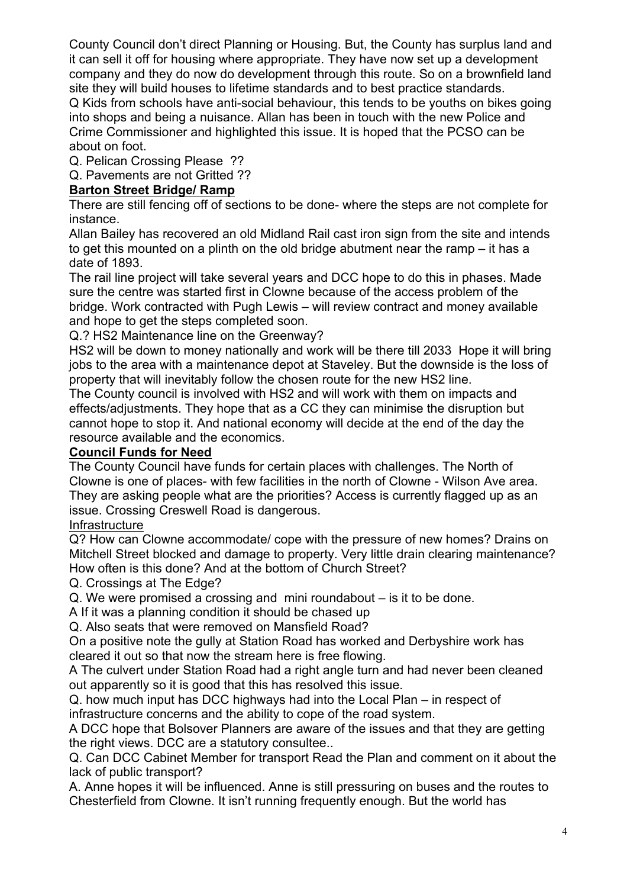County Council don't direct Planning or Housing. But, the County has surplus land and it can sell it off for housing where appropriate. They have now set up a development company and they do now do development through this route. So on a brownfield land site they will build houses to lifetime standards and to best practice standards. Q Kids from schools have anti-social behaviour, this tends to be youths on bikes going into shops and being a nuisance. Allan has been in touch with the new Police and Crime Commissioner and highlighted this issue. It is hoped that the PCSO can be about on foot.

Q. Pelican Crossing Please ??

Q. Pavements are not Gritted ??

## **Barton Street Bridge/ Ramp**

There are still fencing off of sections to be done- where the steps are not complete for instance.

Allan Bailey has recovered an old Midland Rail cast iron sign from the site and intends to get this mounted on a plinth on the old bridge abutment near the ramp – it has a date of 1893.

The rail line project will take several years and DCC hope to do this in phases. Made sure the centre was started first in Clowne because of the access problem of the bridge. Work contracted with Pugh Lewis – will review contract and money available and hope to get the steps completed soon.

Q.? HS2 Maintenance line on the Greenway?

HS2 will be down to money nationally and work will be there till 2033 Hope it will bring jobs to the area with a maintenance depot at Staveley. But the downside is the loss of property that will inevitably follow the chosen route for the new HS2 line.

The County council is involved with HS2 and will work with them on impacts and effects/adjustments. They hope that as a CC they can minimise the disruption but cannot hope to stop it. And national economy will decide at the end of the day the resource available and the economics.

## **Council Funds for Need**

The County Council have funds for certain places with challenges. The North of Clowne is one of places- with few facilities in the north of Clowne - Wilson Ave area. They are asking people what are the priorities? Access is currently flagged up as an issue. Crossing Creswell Road is dangerous.

## Infrastructure

Q? How can Clowne accommodate/ cope with the pressure of new homes? Drains on Mitchell Street blocked and damage to property. Very little drain clearing maintenance? How often is this done? And at the bottom of Church Street?

Q. Crossings at The Edge?

Q. We were promised a crossing and mini roundabout – is it to be done.

A If it was a planning condition it should be chased up

Q. Also seats that were removed on Mansfield Road?

On a positive note the gully at Station Road has worked and Derbyshire work has cleared it out so that now the stream here is free flowing.

A The culvert under Station Road had a right angle turn and had never been cleaned out apparently so it is good that this has resolved this issue.

Q. how much input has DCC highways had into the Local Plan – in respect of infrastructure concerns and the ability to cope of the road system.

A DCC hope that Bolsover Planners are aware of the issues and that they are getting the right views. DCC are a statutory consultee..

Q. Can DCC Cabinet Member for transport Read the Plan and comment on it about the lack of public transport?

A. Anne hopes it will be influenced. Anne is still pressuring on buses and the routes to Chesterfield from Clowne. It isn't running frequently enough. But the world has